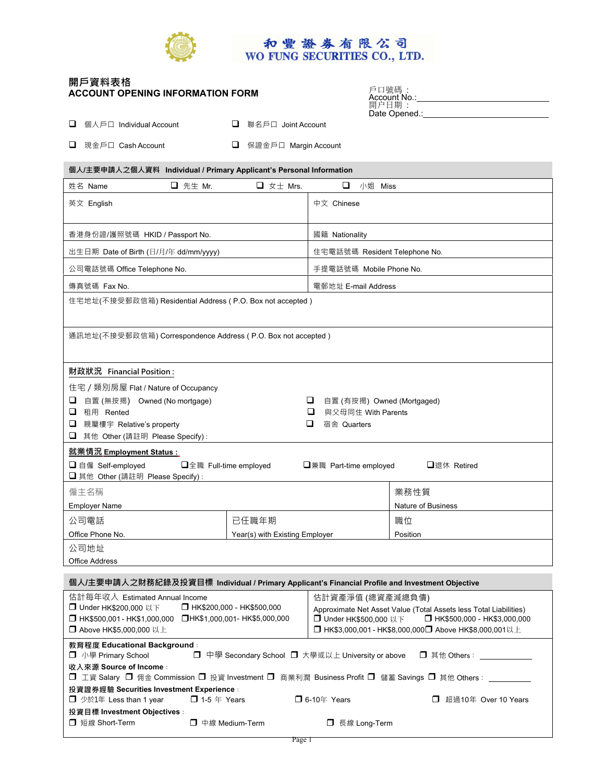

# **開戶資料表格 ACCOUNT OPENING INFORMATION FORM**

Office Address

| 戶口號碼<br>Account No.:  |  |
|-----------------------|--|
| 開户日期<br>Date Opened.: |  |

| □ 個人戶口 Individual Account | □ 聯名戶口 Joint Account   |
|---------------------------|------------------------|
| □ 現金戶口 Cash Account       | □ 保證金戶口 Margin Account |

| 個人/主要申請人之個人資料 Individual / Primary Applicant's Personal Information                                                               |                                |                     |                    |                               |
|-----------------------------------------------------------------------------------------------------------------------------------|--------------------------------|---------------------|--------------------|-------------------------------|
| □ 先生 Mr.<br>姓名 Name                                                                                                               | $\Box$ $\overline{x} \pm$ Mrs. | $\Box$              | 小姐 Miss            |                               |
| 英文 English                                                                                                                        |                                | 中文 Chinese          |                    |                               |
| 香港身份證/護照號碼 HKID / Passport No.                                                                                                    |                                | 國籍 Nationality      |                    |                               |
| 出生日期 Date of Birth (日/月/年 dd/mm/yyyy)                                                                                             |                                |                     |                    | 住宅電話號碼 Resident Telephone No. |
| 公司電話號碼 Office Telephone No.                                                                                                       |                                |                     |                    | 手提電話號碼 Mobile Phone No.       |
| 傳真號碼 Fax No.                                                                                                                      |                                | 電郵地址 E-mail Address |                    |                               |
| 住宅地址(不接受郵政信箱) Residential Address (P.O. Box not accepted)                                                                         |                                |                     |                    |                               |
| 通訊地址(不接受郵政信箱) Correspondence Address (P.O. Box not accepted)                                                                      |                                |                     |                    |                               |
| 財政狀況 Financial Position:                                                                                                          |                                |                     |                    |                               |
| 住宅 / 類別房屋 Flat / Nature of Occupancy                                                                                              |                                |                     |                    |                               |
| 自置 (無按揭) Owned (No mortgage)<br>⊔<br>u.                                                                                           |                                |                     |                    | 自置 (有按揭) Owned (Mortgaged)    |
| 租用 Rented<br>u.                                                                                                                   |                                | $\Box$              | 與父母同住 With Parents |                               |
| 親屬樓宇 Relative's property<br>⊔<br>□ 其他 Other (請註明 Please Specify) :                                                                |                                | ⊔<br>宿舍 Quarters    |                    |                               |
| 就業情況 Employment Status :                                                                                                          |                                |                     |                    |                               |
| <b>□</b> 自僱 Self-employed<br>□全職 Full-time employed<br>□兼職 Part-time employed<br>□ 银休 Retired<br>□ 其他 Other (請註明 Please Specify): |                                |                     |                    |                               |
| 僱主名稱                                                                                                                              |                                |                     |                    | 業務性質                          |
| <b>Employer Name</b>                                                                                                              |                                |                     |                    | <b>Nature of Business</b>     |
| 公司電話                                                                                                                              | 已任職年期                          |                     |                    | 職位                            |
| Office Phone No.                                                                                                                  | Year(s) with Existing Employer |                     |                    | Position                      |
| 公司地址                                                                                                                              |                                |                     |                    |                               |

**個人/主要申請人之財務紀錄及投資目標 Individual / Primary Applicant's Financial Profile and Investment Objective**  估計每年收入Estimated Annual Income 估計資產淨值 (總資產減總負債)

| □ HK\$200,000 - HK\$500,000<br>□ Under HK\$200.000 以下<br>□HK\$1,000,001-HK\$5,000,000<br>HK\$500,001 - HK\$1,000,000<br>□ Above HK\$5,000,000 以上 | 1411 只注/# 14 \灬只注/%灬穴 1只/<br>Approximate Net Asset Value (Total Assets less Total Liabilities)<br>□ Under HK\$500,000 以下 □ HK\$500,000 - HK\$3,000,000<br><b>□</b> HK\$3,000,001 - HK\$8,000,000 <b>□</b> Above HK\$8,000,001以上 |  |  |  |
|--------------------------------------------------------------------------------------------------------------------------------------------------|---------------------------------------------------------------------------------------------------------------------------------------------------------------------------------------------------------------------------------|--|--|--|
| 教育程度 Educational Background:<br><b>□</b> 小學 Primary School                                                                                       | □ 中學 Secondary School □ 大學或以上 University or above<br>□ 其他 Others :                                                                                                                                                              |  |  |  |
| 收入來源 Source of Income:<br>ロ 工資 Salary ロ 佣金 Commission ロ 投資 Investment ロ 商業利潤 Business Profit ロ 儲蓄 Savings ロ 其他 Others :                          |                                                                                                                                                                                                                                 |  |  |  |
| 投資證券經驗 Securities Investment Experience :                                                                                                        |                                                                                                                                                                                                                                 |  |  |  |
| $\Box$ 1-5 $\#$ Years<br>□ 少於1年 Less than 1 year                                                                                                 | $\Box$ 6-10年 Years<br>超過10年 Over 10 Years<br>П.                                                                                                                                                                                 |  |  |  |
| 投資目標 Investment Objectives :                                                                                                                     |                                                                                                                                                                                                                                 |  |  |  |
| □ 短線 Short-Term<br>□ 中線 Medium-Term                                                                                                              | 長線 Long-Term                                                                                                                                                                                                                    |  |  |  |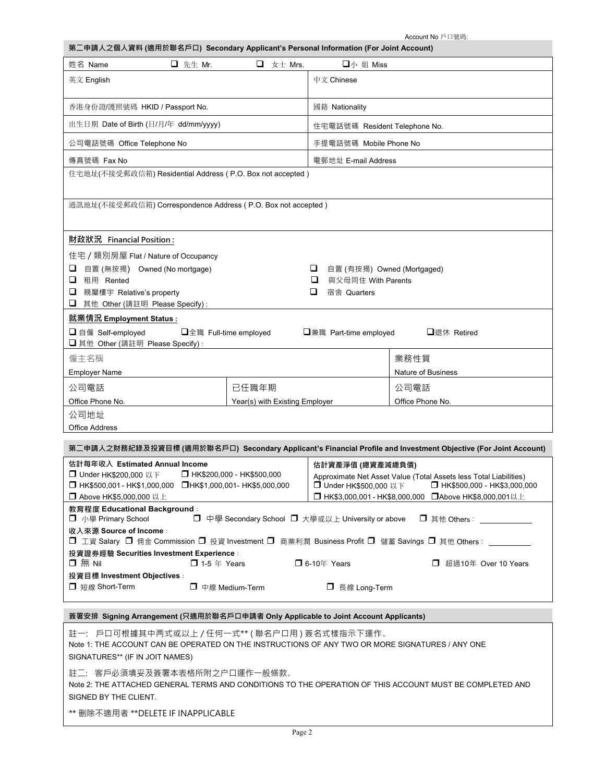Account No 戶口號碼:

| 第二申請人之個人資料 (適用於聯名戶口) Secondary Applicant's Personal Information (For Joint Account)                                                                                              |                       |                               |                    |
|----------------------------------------------------------------------------------------------------------------------------------------------------------------------------------|-----------------------|-------------------------------|--------------------|
| 姓名 Name<br>□ 先生 Mr.                                                                                                                                                              | $\Box$ $\pm \pm$ Mrs. | 口小 姐 Miss                     |                    |
| 英文 English                                                                                                                                                                       |                       | 中文 Chinese                    |                    |
| 香港身份證/護照號碼 HKID / Passport No.                                                                                                                                                   |                       | 國籍 Nationality                |                    |
| 出生日期 Date of Birth (日/月/年 dd/mm/yyyy)                                                                                                                                            |                       | 住宅電話號碼 Resident Telephone No. |                    |
| 公司電話號碼 Office Telephone No                                                                                                                                                       |                       | 手提電話號碼 Mobile Phone No        |                    |
| 傳真號碼 Fax No                                                                                                                                                                      |                       | 電郵地址 E-mail Address           |                    |
| 住宅地址(不接受郵政信箱) Residential Address (P.O. Box not accepted)                                                                                                                        |                       |                               |                    |
| 通訊地址(不接受郵政信箱) Correspondence Address (P.O. Box not accepted)                                                                                                                     |                       |                               |                    |
| 財政狀況 Financial Position:                                                                                                                                                         |                       |                               |                    |
| 住宅 / 類別房屋 Flat / Nature of Occupancy                                                                                                                                             |                       |                               |                    |
| □ 自置 (無按揭) Owned (No mortgage)<br>u<br>自置 (有按揭) Owned (Mortgaged)                                                                                                                |                       |                               |                    |
| □ 租用 Rented                                                                                                                                                                      |                       | □<br>與父母同住 With Parents       |                    |
| □ 親屬樓宇 Relative's property                                                                                                                                                       |                       | □<br>宿舍 Quarters              |                    |
| □ 其他 Other (請註明 Please Specify):<br>就業情況 Employment Status :                                                                                                                     |                       |                               |                    |
| □ 自僱 Self-employed<br>□全職 Full-time employed<br>□兼職 Part-time employed<br>□退休 Retired                                                                                            |                       |                               |                    |
| □ 其他 Other (請註明 Please Specify):                                                                                                                                                 |                       |                               |                    |
| 僱主名稱                                                                                                                                                                             |                       |                               | 業務性質               |
| <b>Employer Name</b>                                                                                                                                                             |                       |                               | Nature of Business |
| 公司電話<br>已任職年期                                                                                                                                                                    |                       |                               | 公司電話               |
| Office Phone No.<br>Year(s) with Existing Employer                                                                                                                               |                       |                               | Office Phone No.   |
| 公司地址                                                                                                                                                                             |                       |                               |                    |
| <b>Office Address</b>                                                                                                                                                            |                       |                               |                    |
| 第二申請人之財務紀錄及投資目標 (適用於聯名戶口) Secondary Applicant's Financial Profile and Investment Objective (For Joint Account)                                                                   |                       |                               |                    |
| 估計每年收入 Estimated Annual Income<br>估計資產淨值 (總資產減總負債)<br>□ Under HK\$200,000 以下<br>□ HK\$200,000 - HK\$500,000<br>Approximate Net Asset Value (Total Assets less Total Liabilities) |                       |                               |                    |

| $\Box$ Under HK\$200,000 $\lor \land$     | $\Box$ HK\$200,000 - HK\$500,000                  | Approximate Net Asset Value (Total Assets less Total Liabilities)                                   |                               |
|-------------------------------------------|---------------------------------------------------|-----------------------------------------------------------------------------------------------------|-------------------------------|
| HK\$500,001 - HK\$1,000,000               | □HK\$1,000,001-HK\$5,000,000                      | □ Under HK\$500.000 以下                                                                              | □ HK\$500,000 - HK\$3,000,000 |
| □ Above HK\$5,000,000 以上                  |                                                   | □ HK\$3,000,001 - HK\$8,000,000 □ Above HK\$8,000,001以上                                             |                               |
| 教育程度 Educational Background:              |                                                   |                                                                                                     |                               |
| □ 小學 Primary School                       | □ 中學 Secondary School □ 大學或以上 University or above |                                                                                                     | □ 其他 Others: __________       |
| 收入來源 Source of Income:                    |                                                   |                                                                                                     |                               |
|                                           |                                                   | □ 工資 Salary □ 佣金 Commission □ 投資 Investment □ 商業利潤 Business Profit □ 儲蓄 Savings □ 其他 Others : _____ |                               |
| 投資證券經驗 Securities Investment Experience : |                                                   |                                                                                                     |                               |
| $\Box$ $\overline{m}$ Nil                 | $\Box$ 1-5 $\&$ Years                             | $\Box$ 6-10年 Years                                                                                  | 超過10年 Over 10 Years           |
| 投資目標 Investment Objectives :              |                                                   |                                                                                                     |                               |
| □ 短線 Short-Term                           | □ 中線 Medium-Term                                  | □ 長線 Long-Term                                                                                      |                               |
|                                           |                                                   |                                                                                                     |                               |

### **簽署安排 Signing Arrangement (只適用於聯名戶口申請者 Only Applicable to Joint Account Applicants)**

註一: 戶口可根據其中两式或以上 / 任何一式\*\* ( 聯名户口用 ) 簽名式樣指示下運作。 Note 1: THE ACCOUNT CAN BE OPERATED ON THE INSTRUCTIONS OF ANY TWO OR MORE SIGNATURES / ANY ONE SIGNATURES\*\* (IF IN JOIT NAMES) 註二: 客戶必須填妥及簽署本表格所附之户口運作一般條款。 Note 2: THE ATTACHED GENERAL TERMS AND CONDITIONS TO THE OPERATION OF THIS ACCOUNT MUST BE COMPLETED AND SIGNED BY THE CLIENT.

\*\* 删除不適用者 \*\*DELETE IF INAPPLICABLE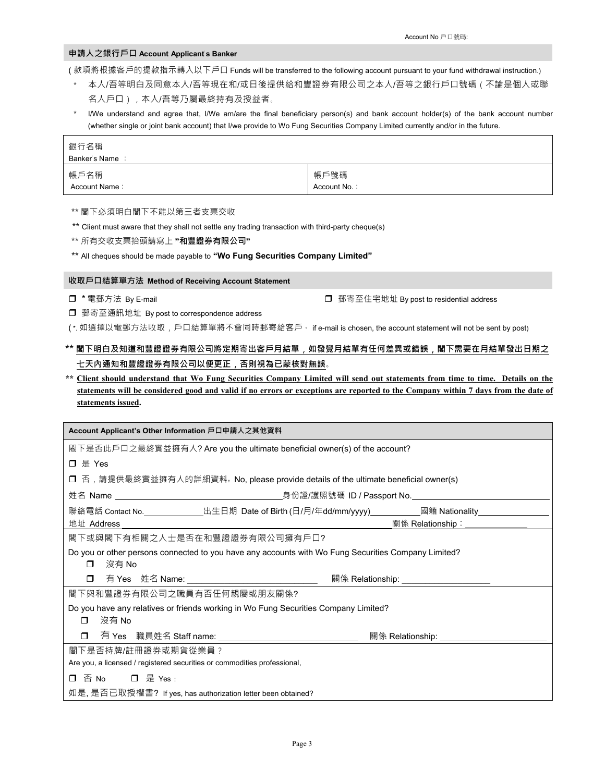## **申請人之銀行戶口 Account Applicant's Banker**

( 款項將根據客戶的提款指示轉入以下戶口 Funds will be transferred to the following account pursuant to your fund withdrawal instruction.)

- \* 本人/吾等明白及同意本人/吾等現在和/或日後提供給和豐證券有限公司之本人/吾等之銀行戶口號碼(不論是個人或聯 名人戶口),本人/吾等乃屬最終持有及授益者。
- \* I/We understand and agree that, I/We am/are the final beneficiary person(s) and bank account holder(s) of the bank account number (whether single or joint bank account) that I/we provide to Wo Fung Securities Company Limited currently and/or in the future.

| 銀行名稱<br>Banker's Name: |              |
|------------------------|--------------|
| 帳戶名稱                   | 帳戶號碼         |
| Account Name:          | Account No.: |

\*\* 閣下必須明白閣下不能以第三者支票交收

\*\* Client must aware that they shall not settle any trading transaction with third-party cheque(s)

\*\* 所有交收支票抬頭請寫上 **"和豐證券有限公司"**

\*\* All cheques should be made payable to **"Wo Fung Securities Company Limited"** 

**收取戶口結算單方法 Method of Receiving Account Statement** 

**□ \*電郵方法 By E-mail □** 郵寄至住宅地址 By post to residential address

郵寄至通訊地址 By post to correspondence address

( \*. 如選擇以電郵方法收取,戶口結算單將不會同時郵寄給客戶。 if e-mail is chosen, the account statement will not be sent by post)

# **\*\* 閣下明白及知道和豐證證券有限公司將定期寄出客戶月結單**,**如發覺月結單有任何差異或錯誤**,**閣下需要在月結單發出日期之 七天內通知和豐證證券有限公司以便更正**,**否則視為已蒙核對無誤**。

**\*\* Client should understand that Wo Fung Securities Company Limited will send out statements from time to time. Details on the statements will be considered good and valid if no errors or exceptions are reported to the Company within 7 days from the date of statements issued.** 

| Account Applicant's Other Information 戶口申請人之其他資料                                                              |                                                                                                            |  |  |
|---------------------------------------------------------------------------------------------------------------|------------------------------------------------------------------------------------------------------------|--|--|
| 閣下是否此戶口之最終實益擁有人? Are you the ultimate beneficial owner(s) of the account?                                     |                                                                                                            |  |  |
| 口 是 Yes                                                                                                       |                                                                                                            |  |  |
|                                                                                                               | ロ 否,請提供最終實益擁有人的詳細資料. No, please provide details of the ultimate beneficial owner(s)                        |  |  |
|                                                                                                               |                                                                                                            |  |  |
| 地址 Address                                                                                                    | 聯絡電話 Contact No.______________出生日期 Date of Birth (日/月/年dd/mm/yyyy)___________國籍 Nationality_______________ |  |  |
| 閣下或與閣下有相關之人士是否在和豐證證券有限公司擁有戶口?                                                                                 |                                                                                                            |  |  |
| 沒有 No<br>$\Box$                                                                                               | Do you or other persons connected to you have any accounts with Wo Fung Securities Company Limited?        |  |  |
|                                                                                                               | □ 有 Yes 姓名 Name: _____________________________  關係 Relationship: _______________                           |  |  |
| 閣下與和豐證券有限公司之職員有否任何親屬或朋友關係?                                                                                    |                                                                                                            |  |  |
| Do you have any relatives or friends working in Wo Fung Securities Company Limited?<br>沒有 No<br>$\mathbf \Pi$ |                                                                                                            |  |  |
| $\Box$<br>有 Yes 職員姓名 Staff name: _________________________________                                            |                                                                                                            |  |  |
| 閣下是否持牌/註冊證券或期貨從業員 ?<br>Are you, a licensed / registered securities or commodities professional,               |                                                                                                            |  |  |
| ロ 否 No ロ 是 Yes :                                                                                              |                                                                                                            |  |  |
| 如是, 是否已取授權書? If yes, has authorization letter been obtained?                                                  |                                                                                                            |  |  |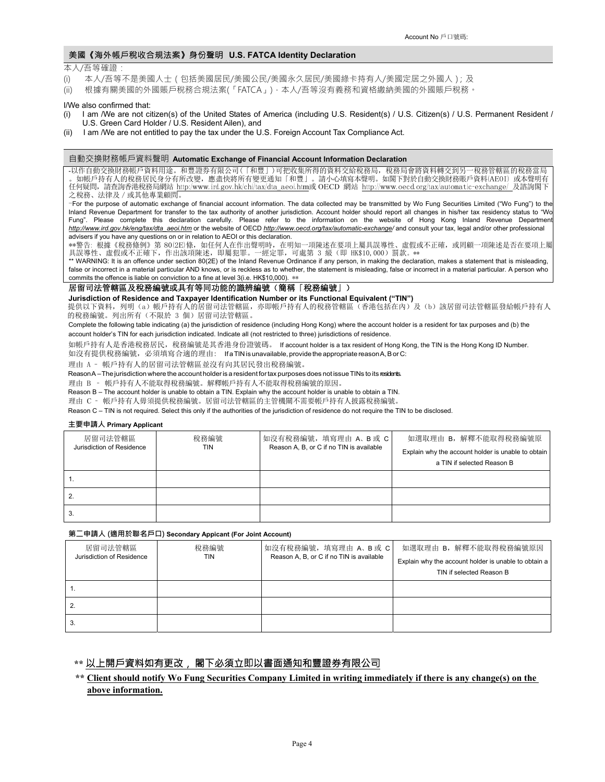### 美國《海外帳戶稅收合規法案》身份聲明 **U.S. FATCA Identity Declaration**

#### 本人/吾等確證:

- (i) 本人/吾等不是美國人士(包括美國居民/美國公民/美國永久居民/美國綠卡持有人/美國定居之外國人);及
- (ii) 根據有關美國的外國賬戶稅務合規法案(「FATCA」),本人/吾等沒有義務和資格繳納美國的外國賬戶稅務。

#### I/We also confirmed that:

- (i) I am /We are not citizen(s) of the United States of America (including U.S. Resident(s) / U.S. Citizen(s) / U.S. Permanent Resident / U.S. Green Card Holder / U.S. Resident Ailen), and
- I am /We are not entitled to pay the tax under the U.S. Foreign Account Tax Compliance Act.

#### 自動交換財務帳戶資料聲明 **Automatic Exchange of Financial Account Information Declaration**

-以作自動交換財務帳戶資料用途。和豐證券有限公司(「和豐」)可把收集所得的資料交給稅務局,稅務局會將資料轉交到另一稅務管轄區的稅務當局 。如帳戶持有人的稅務居民身分有所改變,應盡快將所有變更通知「和豐」。請小心填寫本聲明。如閣下對於自動交換財務賬戶資料(AEOI) 或本聲明有 任何疑問,請查詢香港稅務局網站 <u>http:/www.ird.gov.hk/chi/tax/dta\_aeoi.htm</u>或 OECD 網站 http://www.oecd.org/tax/automatic-exchange/ 及諮詢閣下 之稅務、法律及/或其他專業顧問。

-For the purpose of automatic exchange of financial account information. The data collected may be transmitted by Wo Fung Securities Limited ("Wo Fung") to the Inland Revenue Department for transfer to the tax authority of another jurisdiction. Account holder should report all changes in his/her tax residency status to "Wo Fung". Please complete this declaration carefully. Please refer to the information on the website of Hong Kong Inland Revenue Department *http://www.ird.gov.hk/eng/tax/dta\_aeoi.htm* or the website of OECD *http://www.oecd.org/tax/automatic-exchange/* and consult your tax, legal and/or other professional advisers if you have any questions on or in relation to AEOI or this declaration.

\*\*警告: 根據《稅務條例》第 80(2E)條,如任何人在作出聲明時,在明知一項陳述在要項上屬具誤導性、虛假或不正確,或罔顧一項陳述是否在要項上屬 具誤導性、虛假或不正確下,作出該項陳述,即屬犯罪。一經定罪,可處第 3 級 (即 HK\$10,000)罰款。\*\*

\*\* WARNING: It is an offence under section 80(2E) of the Inland Revenue Ordinance if any person, in making the declaration, makes a statement that is misleading, false or incorrect in a material particular AND knows, or is reckless as to whether, the statement is misleading, false or incorrect in a material particular. A person who commits the offence is liable on conviction to a fine at level 3(i.e. HK\$10,000). \*\*

### 居留司法管轄區及稅務編號或具有等同功能的識辨編號(簡稱「稅務編號」)

**Jurisdiction of Residence and Taxpayer Identification Number or its Functional Equivalent ("TIN")** 

提供以下資料,列明(a)帳戶持有人的居留司法管轄區,亦即帳戶持有人的稅務管轄區(香港包括在內)及(b)該居留司法管轄區發給帳戶持有人 的稅務編號。列出所有(不限於 3 個)居留司法管轄區。

Complete the following table indicating (a) the jurisdiction of residence (including Hong Kong) where the account holder is a resident for tax purposes and (b) the account holder's TIN for each jurisdiction indicated. Indicate all (not restricted to three) jurisdictions of residence.

如帳戶持有人是香港稅務居民,稅務編號是其香港身份證號碼。 If account holder is a tax resident of Hong Kong, the TIN is the Hong Kong ID Number.

如沒有提供稅務編號,必須填寫合適的理由: If a TIN is unavailable, provide the appropriate reason A, B or C:

理由 A – 帳戶持有人的居留司法管轄區並沒有向其居民發出稅務編號。

Reason A – The jurisdiction where the account holder is a resident for tax purposes does not issue TINs to its residents.

理由 B – 帳戶持有人不能取得稅務編號。解釋帳戶持有人不能取得稅務編號的原因。

Reason B – The account holder is unable to obtain a TIN. Explain why the account holder is unable to obtain a TIN.

理由 C – 帳戶持有人毋須提供稅務編號。居留司法管轄區的主管機關不需要帳戶持有人披露稅務編號。

Reason C – TIN is not required. Select this only if the authorities of the jurisdiction of residence do not require the TIN to be disclosed.

#### **主要申請人 Primary Applicant**

| 居留司法管轄區<br>Jurisdiction of Residence | 稅務編號<br>TIN | 如沒有稅務編號, 填寫理由 A、B 或 C<br>Reason A, B, or C if no TIN is available | 如選取理由 B,解釋不能取得稅務編號原<br>Explain why the account holder is unable to obtain<br>a TIN if selected Reason B |
|--------------------------------------|-------------|-------------------------------------------------------------------|---------------------------------------------------------------------------------------------------------|
|                                      |             |                                                                   |                                                                                                         |
|                                      |             |                                                                   |                                                                                                         |
|                                      |             |                                                                   |                                                                                                         |

#### **第二申請人 (適用於聯名戶口) Secondary Appicant (For Joint Account)**

| 居留司法管轄區                   | 稅務編號 |                                          | 如沒有稅務編號, 填寫理由 A、B 或 C                                | 如選取理由 B, 解釋不能取得稅務編號原因 |
|---------------------------|------|------------------------------------------|------------------------------------------------------|-----------------------|
| Jurisdiction of Residence | TIN  | Reason A, B, or C if no TIN is available | Explain why the account holder is unable to obtain a |                       |
|                           |      |                                          | TIN if selected Reason B                             |                       |
|                           |      |                                          |                                                      |                       |
|                           |      |                                          |                                                      |                       |
| د.                        |      |                                          |                                                      |                       |

## **\*\*** 以上開戶資料如有更改, 閣下必須立即以書面通知和豐證券有限公司

## **\*\* Client should notify Wo Fung Securities Company Limited in writing immediately if there is any change(s) on the above information.**